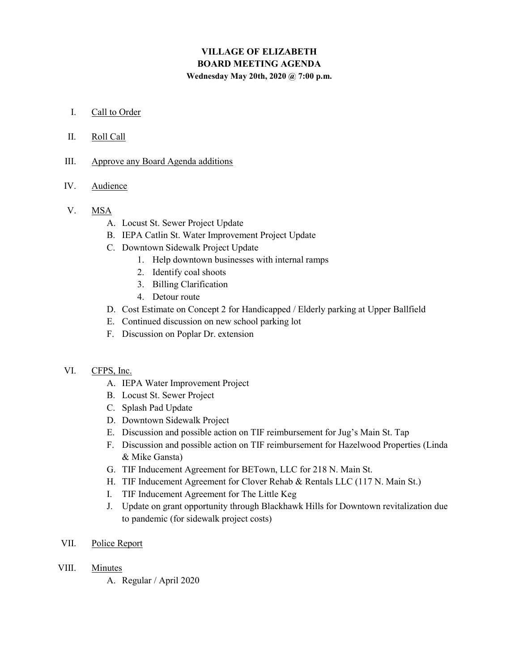# VILLAGE OF ELIZABETH BOARD MEETING AGENDA Wednesday May 20th, 2020 @ 7:00 p.m.

#### I. Call to Order

- II. Roll Call
- III. Approve any Board Agenda additions
- IV. Audience
- V. MSA
	- A. Locust St. Sewer Project Update
	- B. IEPA Catlin St. Water Improvement Project Update
	- C. Downtown Sidewalk Project Update
		- 1. Help downtown businesses with internal ramps
		- 2. Identify coal shoots
		- 3. Billing Clarification
		- 4. Detour route
	- D. Cost Estimate on Concept 2 for Handicapped / Elderly parking at Upper Ballfield
	- E. Continued discussion on new school parking lot
	- F. Discussion on Poplar Dr. extension

## VI. CFPS, Inc.

- A. IEPA Water Improvement Project
- B. Locust St. Sewer Project
- C. Splash Pad Update
- D. Downtown Sidewalk Project
- E. Discussion and possible action on TIF reimbursement for Jug's Main St. Tap
- F. Discussion and possible action on TIF reimbursement for Hazelwood Properties (Linda & Mike Gansta)
- G. TIF Inducement Agreement for BETown, LLC for 218 N. Main St.
- H. TIF Inducement Agreement for Clover Rehab & Rentals LLC (117 N. Main St.)
- I. TIF Inducement Agreement for The Little Keg
- J. Update on grant opportunity through Blackhawk Hills for Downtown revitalization due to pandemic (for sidewalk project costs)
- VII. Police Report
- VIII. Minutes
	- A. Regular / April 2020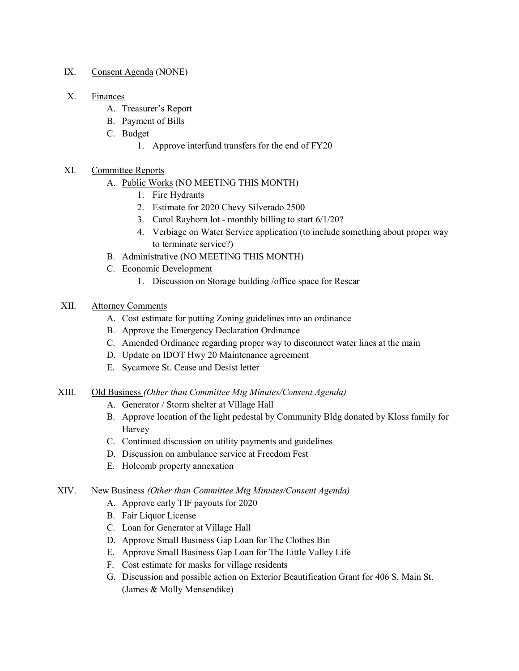#### IX. Consent Agenda (NONE)

#### X. Finances

- A. Treasurer's Report
- B. Payment of Bills
- C. Budget
	- 1. Approve interfund transfers for the end of FY20

## XI. Committee Reports

- A. Public Works (NO MEETING THIS MONTH)
	- 1. Fire Hydrants
	- 2. Estimate for 2020 Chevy Silverado 2500
	- 3. Carol Rayhorn lot monthly billing to start 6/1/20?
	- 4. Verbiage on Water Service application (to include something about proper way to terminate service?)
- B. Administrative (NO MEETING THIS MONTH)
- C. Economic Development
	- 1. Discussion on Storage building /office space for Rescar

## XII. Attorney Comments

- A. Cost estimate for putting Zoning guidelines into an ordinance
- B. Approve the Emergency Declaration Ordinance
- C. Amended Ordinance regarding proper way to disconnect water lines at the main
- D. Update on IDOT Hwy 20 Maintenance agreement
- E. Sycamore St. Cease and Desist letter

## XIII. Old Business (Other than Committee Mtg Minutes/Consent Agenda)

- A. Generator / Storm shelter at Village Hall
- B. Approve location of the light pedestal by Community Bldg donated by Kloss family for Harvey
- C. Continued discussion on utility payments and guidelines
- D. Discussion on ambulance service at Freedom Fest
- E. Holcomb property annexation

## XIV. New Business (Other than Committee Mtg Minutes/Consent Agenda)

- A. Approve early TIF payouts for 2020
- B. Fair Liquor License
- C. Loan for Generator at Village Hall
- D. Approve Small Business Gap Loan for The Clothes Bin
- E. Approve Small Business Gap Loan for The Little Valley Life
- F. Cost estimate for masks for village residents
- G. Discussion and possible action on Exterior Beautification Grant for 406 S. Main St. (James & Molly Mensendike)